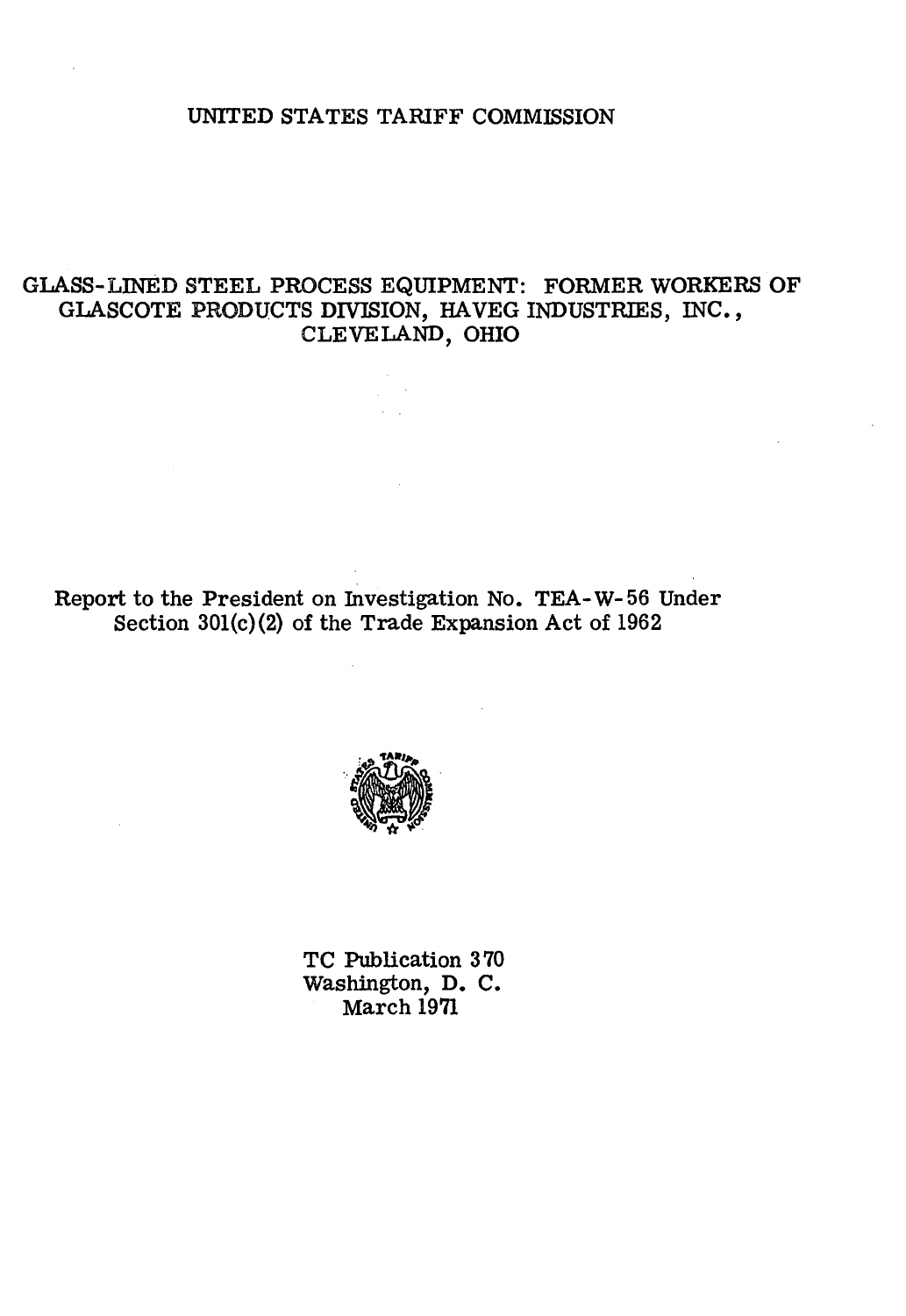## UNITED STATES TARIFF COMMISSION

# GLASS-LINED STEEL PROCESS EQUIPMENT: FORMER WORKERS OF GLASCOTE PRODUCTS DIVISION, HAVEG INDUSTRIES, INC., CLEVELAND, OHIO

Report to the President on Investigation No. TEA-W- 56 Under Section 30l(c)(2) of the Trade Expansion Act of 1962



TC Publication 3 70 Washington, D. C. March 1971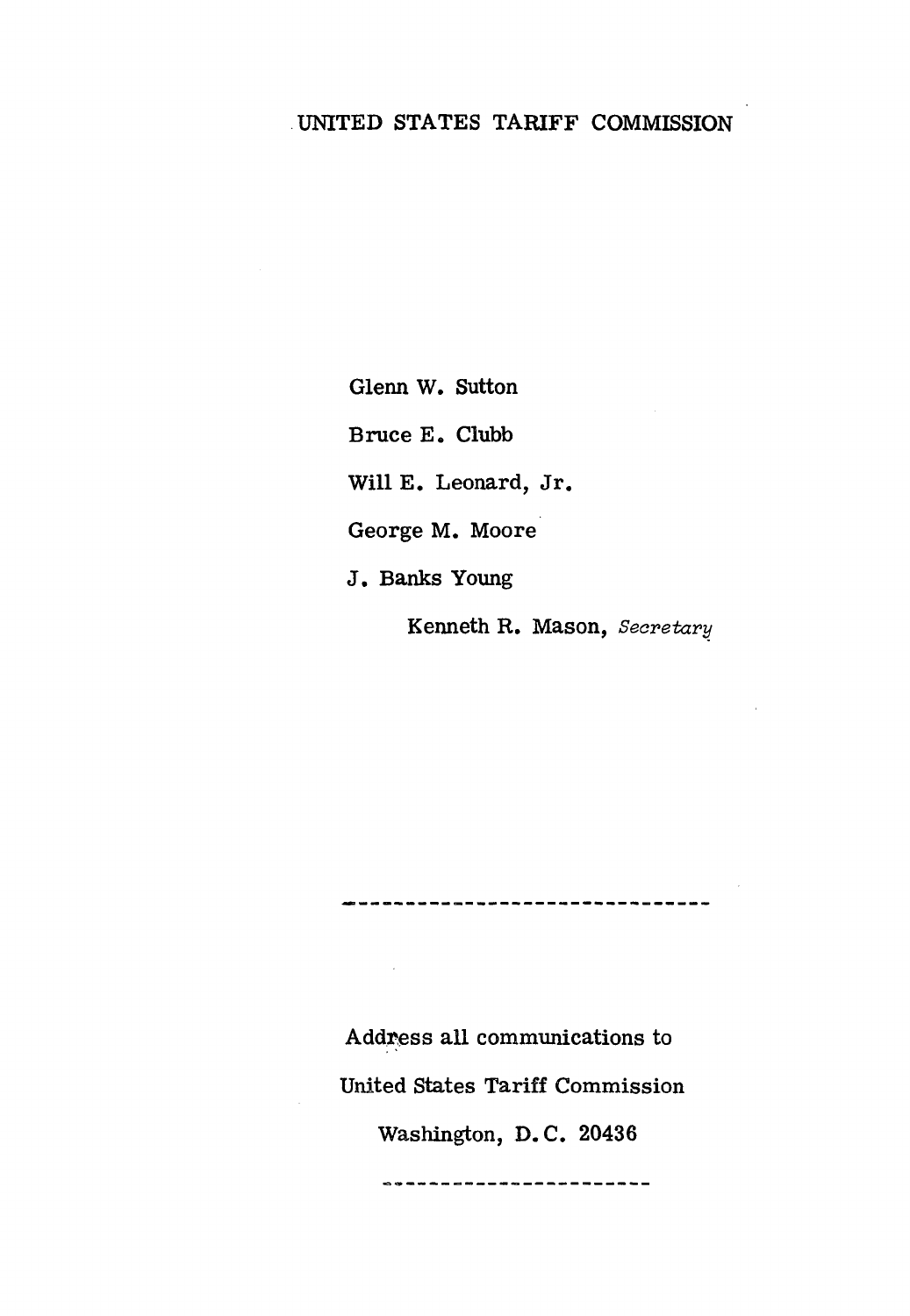## . UNITED STATES TARIFF COMMISSION

Glenn W. Sutton

Bruce E. Clubb

Will E. Leonard, Jr.

George M. Moore

J. Banks Young

Kenneth R. Mason, Secretary

Address all communications to United States Tariff Commission Washington, D. C. 20436

 $- - - -$ 

.................

------------------------------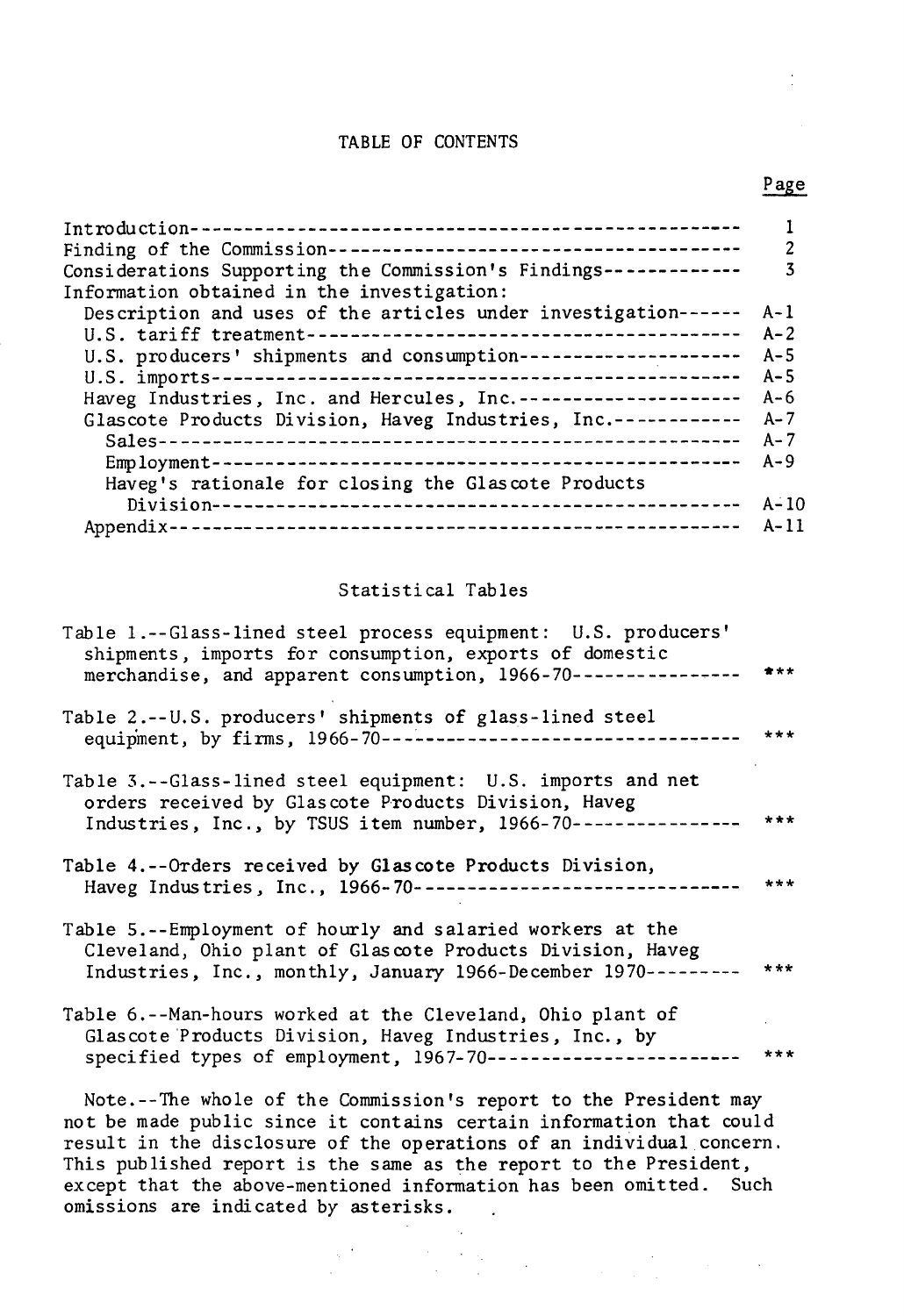## TABLE OF CONTENTS

 $\frac{1}{\sqrt{2}}$ 

Page

| Considerations Supporting the Commission's Findings------------- |         |
|------------------------------------------------------------------|---------|
| Information obtained in the investigation:                       |         |
| Description and uses of the articles under investigation------   | $A-1$   |
|                                                                  | $A - 2$ |
| U.S. producers' shipments and consumption---------------------   | $A - 5$ |
|                                                                  | $A - 5$ |
| Haveg Industries, Inc. and Hercules, Inc.--------------------    | $A - 6$ |
| Glascote Products Division, Haveg Industries, Inc.------------   | $A - 7$ |
|                                                                  | $A - 7$ |
|                                                                  | $A - 9$ |
| Haveg's rationale for closing the Glascote Products              |         |
|                                                                  | $A-10$  |
|                                                                  | $A-11$  |

#### Statistical Tables

| Table 1.--Glass-lined steel process equipment: U.S. producers'<br>shipments, imports for consumption, exports of domestic<br>merchandise, and apparent consumption, 1966-70---------------- *** |       |
|-------------------------------------------------------------------------------------------------------------------------------------------------------------------------------------------------|-------|
| Table 2.--U.S. producers' shipments of glass-lined steel                                                                                                                                        |       |
| Table 3.--Glass-lined steel equipment: U.S. imports and net<br>orders received by Glascote Products Division, Haveg<br>Industries, Inc., by TSUS item number, 1966-70--------------- ***        |       |
| Table 4.--Orders received by Glascote Products Division,<br>Haveg Industries, Inc., 1966-70--------------------------------                                                                     | $***$ |
| Table 5.--Employment of hourly and salaried workers at the<br>Cleveland, Ohio plant of Glascote Products Division, Haveg<br>Industries, Inc., monthly, January 1966-December 1970---------      | $***$ |
| Table 6.--Man-hours worked at the Cleveland, Ohio plant of<br>Glascote Products Division, Haveg Industries, Inc., by<br>specified types of employment, 1967-70------------------------          | ***   |
| Note.--The whole of the Commission's report to the President may                                                                                                                                |       |

not be made public since it contains certain information that could result in the disclosure of the operations of an individual.concern. This published report is the same as the report to the President, except that the above-mentioned information has been omitted. Such omissions are indicated by asterisks.  $\mathbf{r}$ 

 $\label{eq:2.1} \begin{split} \mathcal{L}_{\mathcal{A}}(\mathcal{F}) &= \mathcal{L}_{\mathcal{A}}(\mathcal{F}) \otimes \mathcal{L}_{\mathcal{A}}(\mathcal{F}) \otimes \mathcal{L}_{\mathcal{A}}(\mathcal{F}) \otimes \mathcal{L}_{\mathcal{A}}(\mathcal{F}) \otimes \mathcal{L}_{\mathcal{A}}(\mathcal{F}) \otimes \mathcal{L}_{\mathcal{A}}(\mathcal{F}) \otimes \mathcal{L}_{\mathcal{A}}(\mathcal{F}) \otimes \mathcal{L}_{\mathcal{A}}(\mathcal{F}) \otimes \mathcal{L}_{\mathcal{A}}(\mathcal{F}) \$ 

 $\label{eq:2.1} \frac{d\mathbf{r}}{d\mathbf{r}} = \frac{1}{2} \left( \frac{\partial \mathbf{r}}{\partial \mathbf{r}} + \frac{\partial \mathbf{r}}{\partial \mathbf{r}} \right) \mathbf{r}^2 + \frac{1}{2} \left( \frac{\partial \mathbf{r}}{\partial \mathbf{r}} + \frac{\partial \mathbf{r}}{\partial \mathbf{r}} \right) \mathbf{r}^2 + \frac{1}{2} \left( \frac{\partial \mathbf{r}}{\partial \mathbf{r}} + \frac{\partial \mathbf{r}}{\partial \mathbf{r}} \right) \mathbf{r}^2 + \frac{1}{2} \left( \frac{\partial \$ 

 $\frac{1}{2} \left( \frac{1}{2} \right)$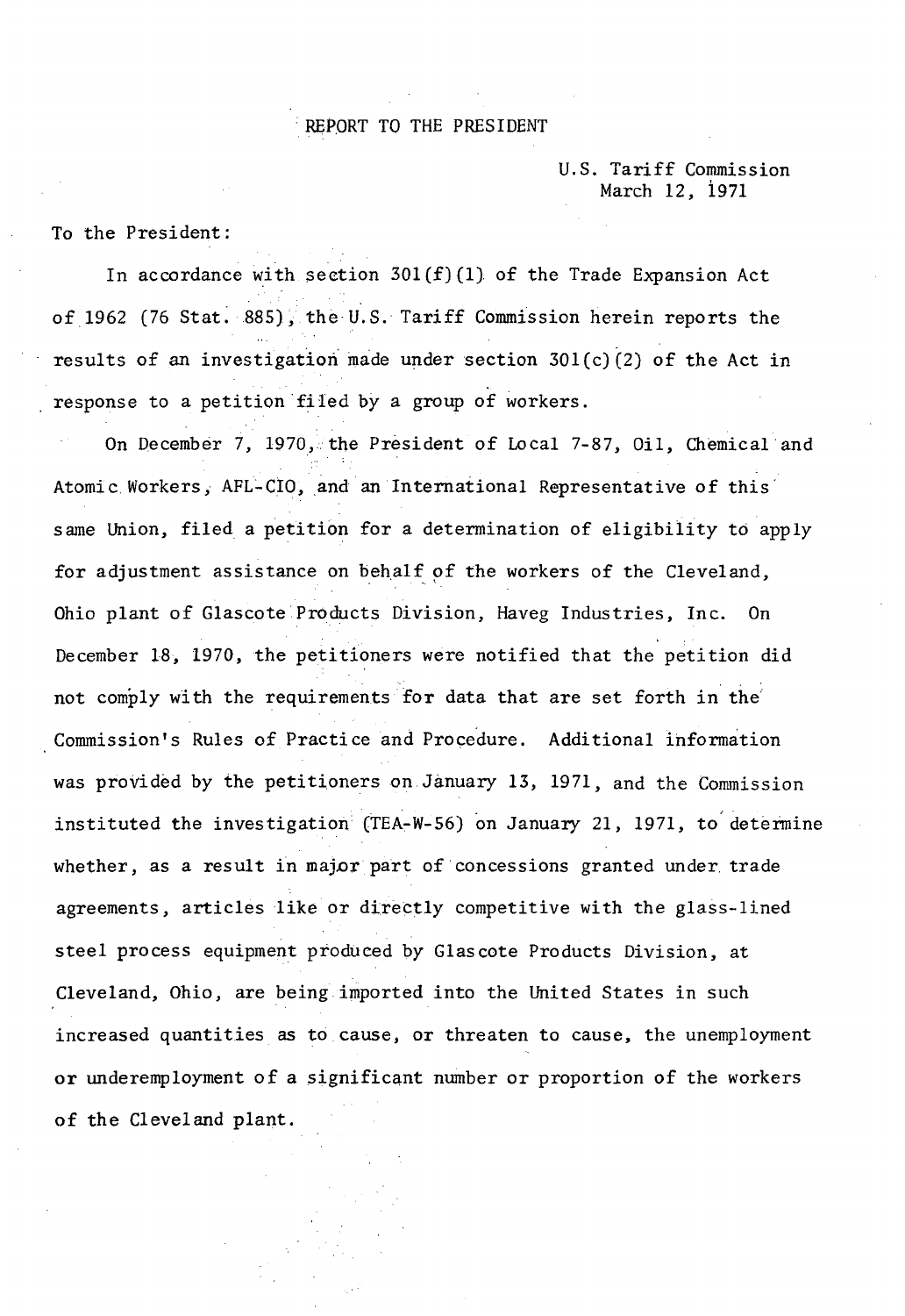#### REPORT TO THE PRESIDENT

U.S. Tariff Commission March 12, i971

To the President:

In accordance with section  $301(f)(1)$  of the Trade Expansion Act of 1962 (76 Stat. 885), the U.S. Tariff Commission herein reports the results of an investigation made under section  $301(c)(2)$  of the Act in response to a petition filed by a group of workers.

On December *7,* 1970, the President of Local *7-87, Oil,* Chemical and Atomic Workers, AFL-CIO, and an International Representative of this same Union, filed a petition for a determination of eligibility to apply for adjustment assistance on behalf of the workers of the Cleveland, Ohio plant of Glascote Products Division, Haveg Industries, Inc. On December 18, 1970, the petitioners were notified that the petition did not comply with the requirements for data that are set forth in the Commission's Rules of Practice and Procedure. Additional information was provided by the petitioners on January 13, 1971, and the Commission instituted the investigation (TEA-W-56) on January 21, 1971, to determine whether, as a result in major part of concessions granted under trade agreements, articles like or directly competitive with the glass-lined steel process equipment produced by Glascote Products Division, at Cleveland, Ohio, are being imported into the United States in such increased quantities as to cause, or threaten to cause, the unemployment or underemployment of a significant number or proportion of the workers of the Cleveland plant.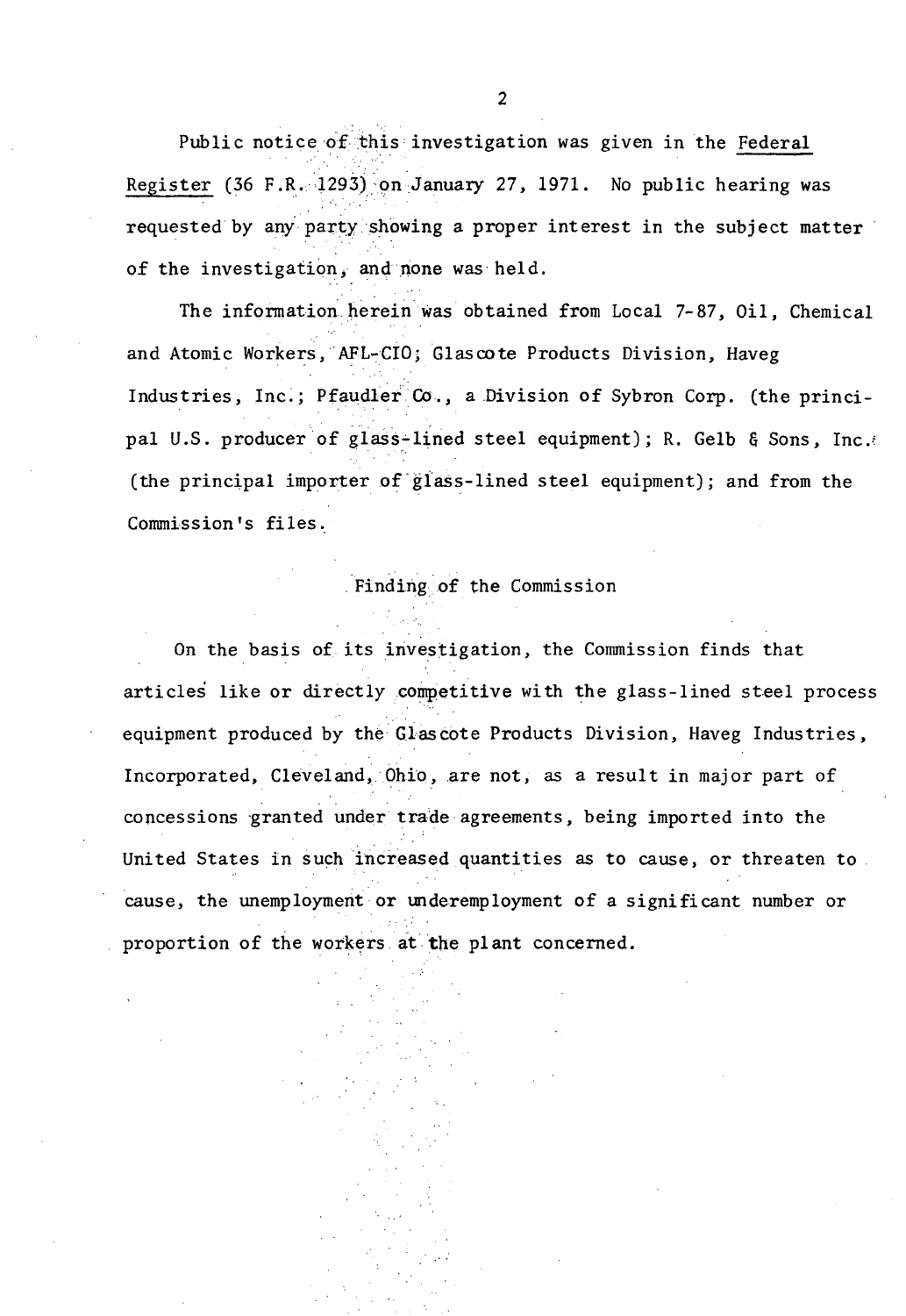Public notice of this investigation was given in the Federal Register (36 F.R. 1293) on January 27, 1971. No public hearing was requested by any party showing a proper interest in the subject matter of the investigation; and none was held.

The information herein was obtained from Local 7-87, Oil, Chemical and Atomic Workers, AFL-CIO; Glascote Products Division, Haveg Industries, Inc.; Pfaudler Co., a Division of Sybron Corp. (the principal U.S. producer of glass-lined steel equipment); R. Gelb & Sons, Inc. (the principal importer of glass-lined steel equipment); and from the Commission's files.

## . Finding of the Commission

On the basis of its investigation, the Commission finds that articles like or directly competitive with the glass-lined steel process equipment produced by the Glas cote Products Division, Haveg Industries, Incorporated, Cleveland, Ohio, are not, as a result in major part of concessions granted under trade agreements, being imported into the United States in such increased quantities as to cause, or threaten to. cause, the unemployment or mderemployment of a significant number or proportion of the workers at the plant concerned.

2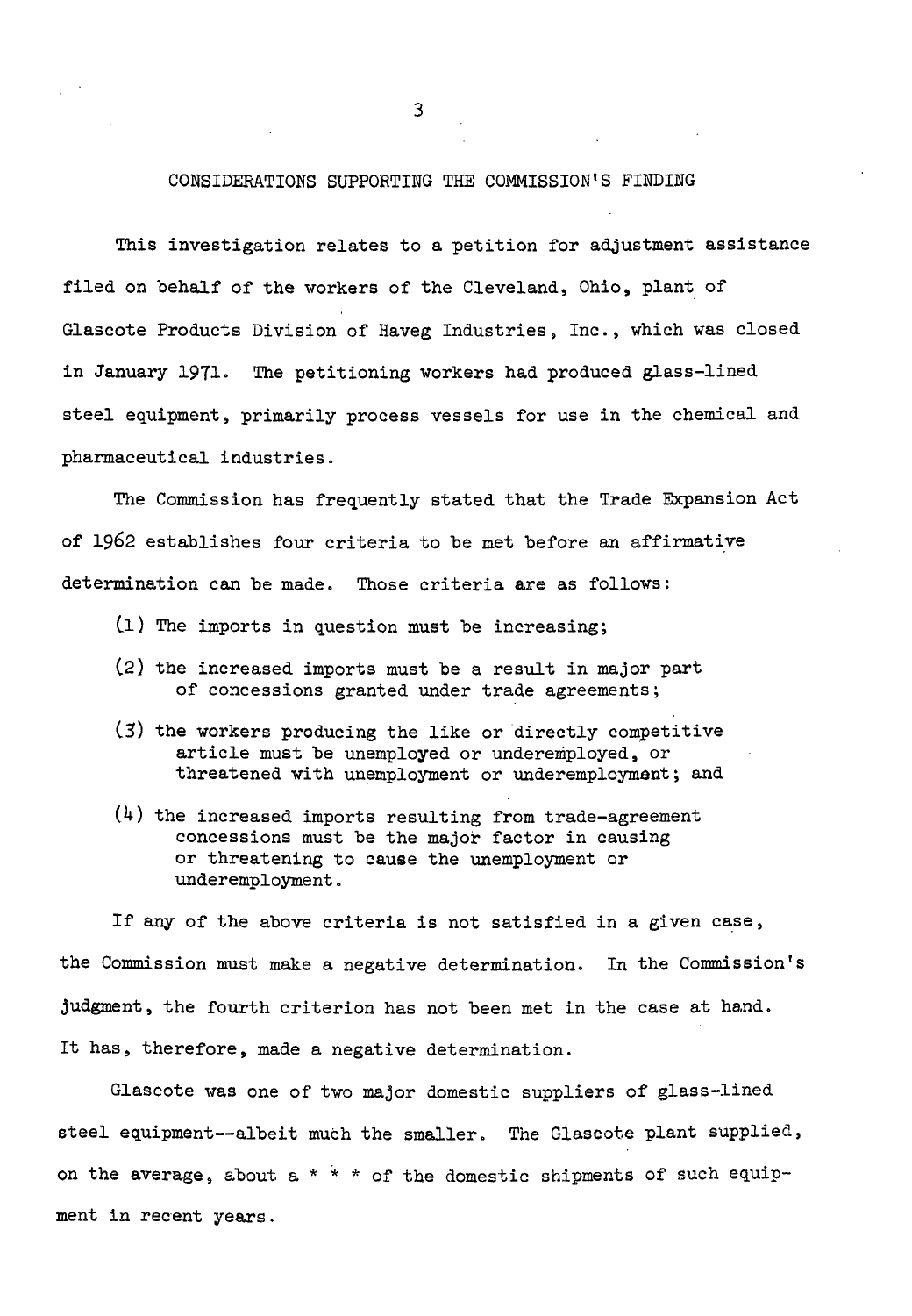#### CONSIDERATIONS SUPPORTING THE COMMISSION'S FINDING

This investigation relates to a petition for adjustment assistance filed on behalf of the workers of the Cleveland, Ohio, plant of Glascote Products Division of Haveg Industries, Inc., which was closed in January 1971. The petitioning workers had produced glass-lined steel equipment, primarily process vessels for use in the chemical and pharmaceutical industries.

The Commission has frequently stated that the Trade Expansion Act of 1962 establishes four criteria to be met before an affirmative determination can be made. Those criteria are as follows:

- (1) The imports in question must be increasing;
- (2) the increased imports must be a result in major part of concessions granted under trade agreements;
- (3) the workers producing the like or directly competitive article must be unemployed or underemployed, or threatened with unemployment or underemployment; and
- (4) the increased imports resulting from trade-agreement concessions must be the major factor in causing or threatening to cause the unemployment or underemployment.

If any of the above criteria is not satisfied in a given case, the Commission must make a negative determination. In the Commission's judgment, the fourth criterion has not been met in the case at hand. It has, therefore, made a negative determination.

Glascote was one of two major domestic suppliers of glass-lined steel equipment--albeit much the smaller. The Glascote plant supplied, on the average, about a  $* * *$  of the domestic shipments of such equipment in recent years.

3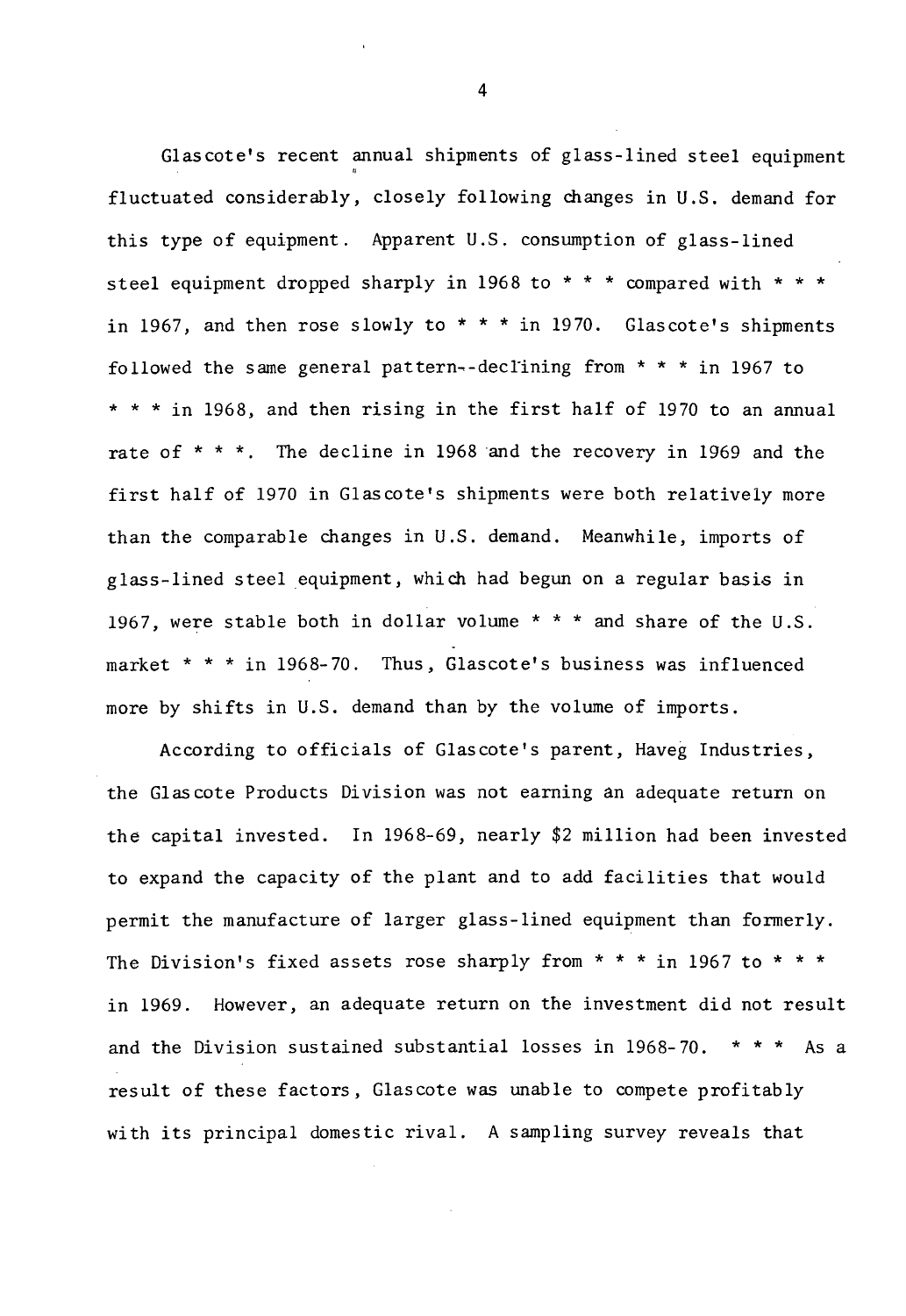Glascote's recent annual shipments of glass-lined steel equipment I fluctuated considerably, closely following changes in U.S. demand for this type of equipment. Apparent U.S. consumption of glass-lined steel equipment dropped sharply in 1968 to  $* * *$  compared with  $* * *$ in 1967, and then rose slowly to  $* * *$  in 1970. Glascote's shipments followed the same general pattern--declining from  $* * * in 1967$  to \* \* \* in 1968, and then rising in the first half of 1970 to an annual rate of \* \* \*. The decline in 1968 and the recovery in 1969 and the first half of 1970 in Glascote's shipments were both relatively more than the comparable changes in U.S. demand. Meanwhile, imports of glass-lined steel equipment, which had begun on a regular basio in 1967, were stable both in dollar volume \* \* \* and share of the U.S. market \* \* \*in 1968-70. Thus, Glascote's business was influenced more by shifts in U.S. demand than by the volume of imports.

According to officials of Glascote's parent, Haveg Industries, the Glascote Products Division was not earning an adequate return on the capital invested. In 1968-69, nearly \$2 million had been invested to expand the capacity of the plant and to add facilities that would permit the manufacture of larger glass-lined equipment than formerly. The Division's fixed assets rose sharply from  $* * * in 1967$  to  $* * *$ in 1969. However, an adequate return on the investment did not result and the Division sustained substantial losses in 1968-70. \* \* \* As a result of these factors, Glascote was unable to compete profitably with its principal domestic rival. A sampling survey reveals that

4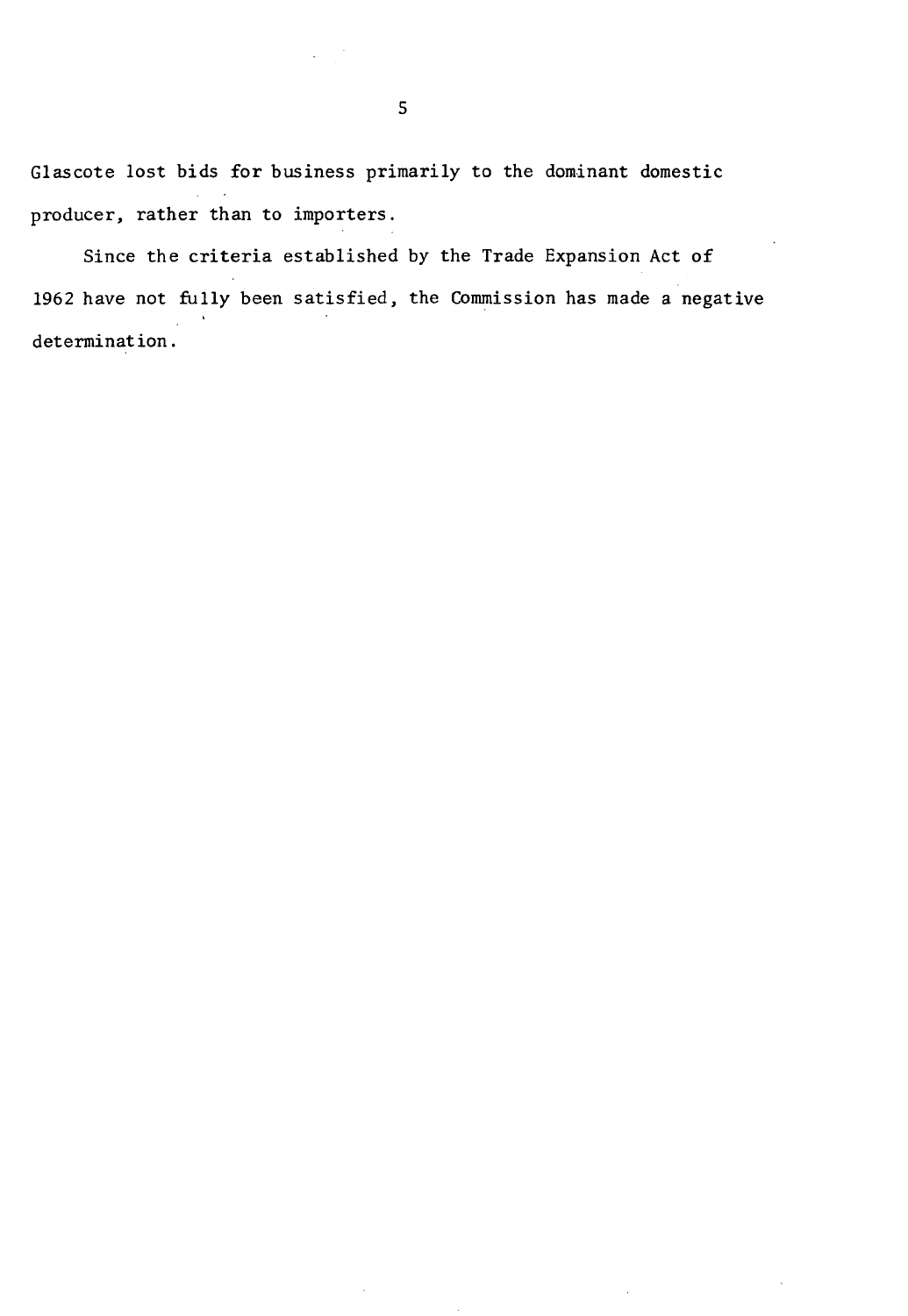Glascote lost bids for business primarily to the dominant domestic producer, rather than to importers.

Since the criteria established by the Trade Expansion Act of 1962 have not fully been satisfied, the Commission has made a negative determination.

 $\hat{\boldsymbol{\beta}}$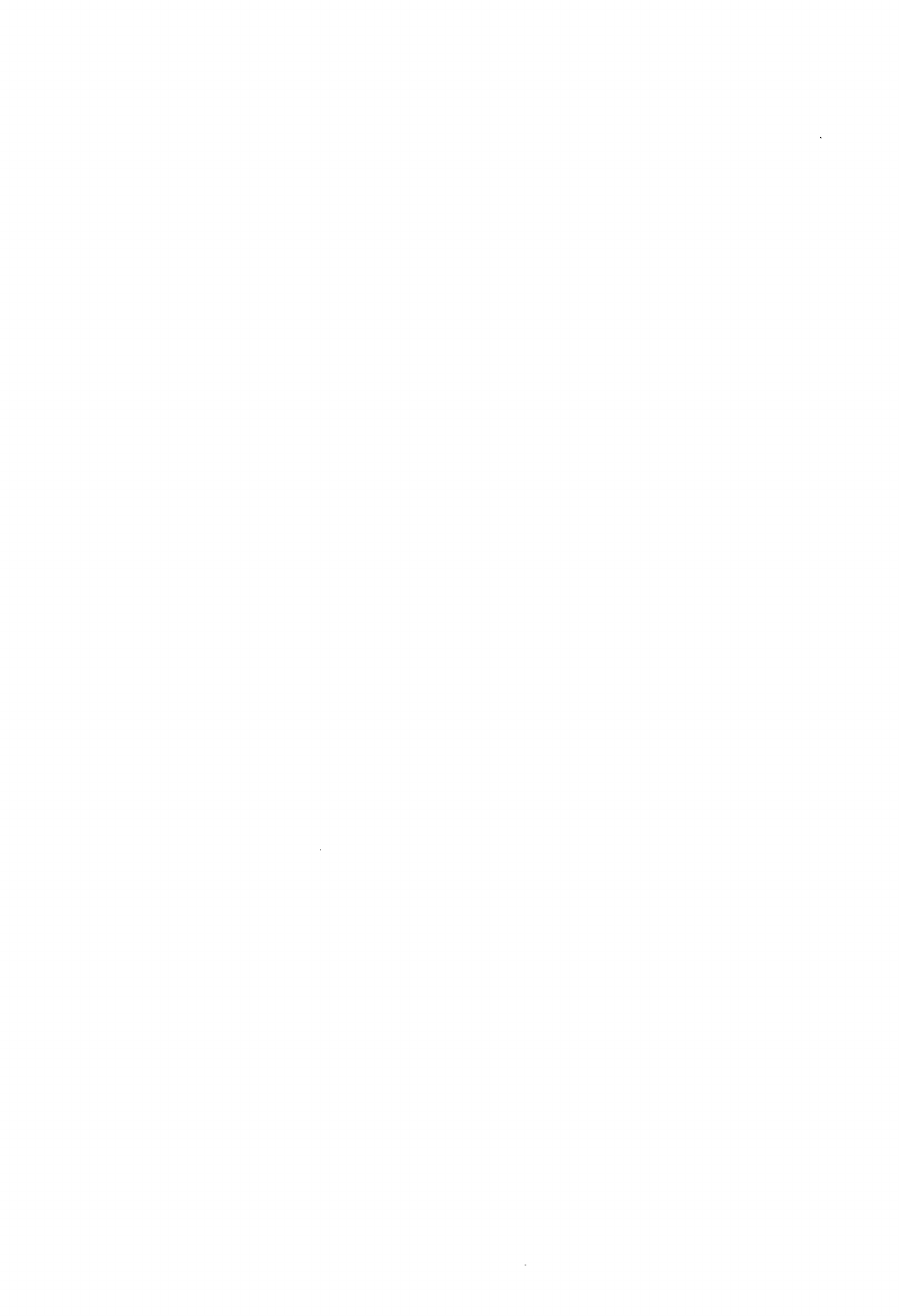$\label{eq:2.1} \frac{1}{\sqrt{2\pi}}\int_{0}^{\infty}\frac{1}{\sqrt{2\pi}}\left(\frac{1}{\sqrt{2\pi}}\right)^{2}d\mu\,d\mu\,.$  $\label{eq:2.1} \frac{1}{\sqrt{2}}\int_{\mathbb{R}^3}\frac{1}{\sqrt{2}}\left(\frac{1}{\sqrt{2}}\right)^2\frac{1}{\sqrt{2}}\left(\frac{1}{\sqrt{2}}\right)^2\frac{1}{\sqrt{2}}\left(\frac{1}{\sqrt{2}}\right)^2\frac{1}{\sqrt{2}}\left(\frac{1}{\sqrt{2}}\right)^2\frac{1}{\sqrt{2}}\left(\frac{1}{\sqrt{2}}\right)^2\frac{1}{\sqrt{2}}\left(\frac{1}{\sqrt{2}}\right)^2\frac{1}{\sqrt{2}}\left(\frac{1}{\sqrt{2}}\right)^2\frac{1}{\sqrt{$ 

 $\label{eq:2} \frac{1}{\sqrt{2}}\left(\frac{1}{\sqrt{2}}\right)^2\left(\frac{1}{\sqrt{2}}\right)^2\left(\frac{1}{\sqrt{2}}\right)^2.$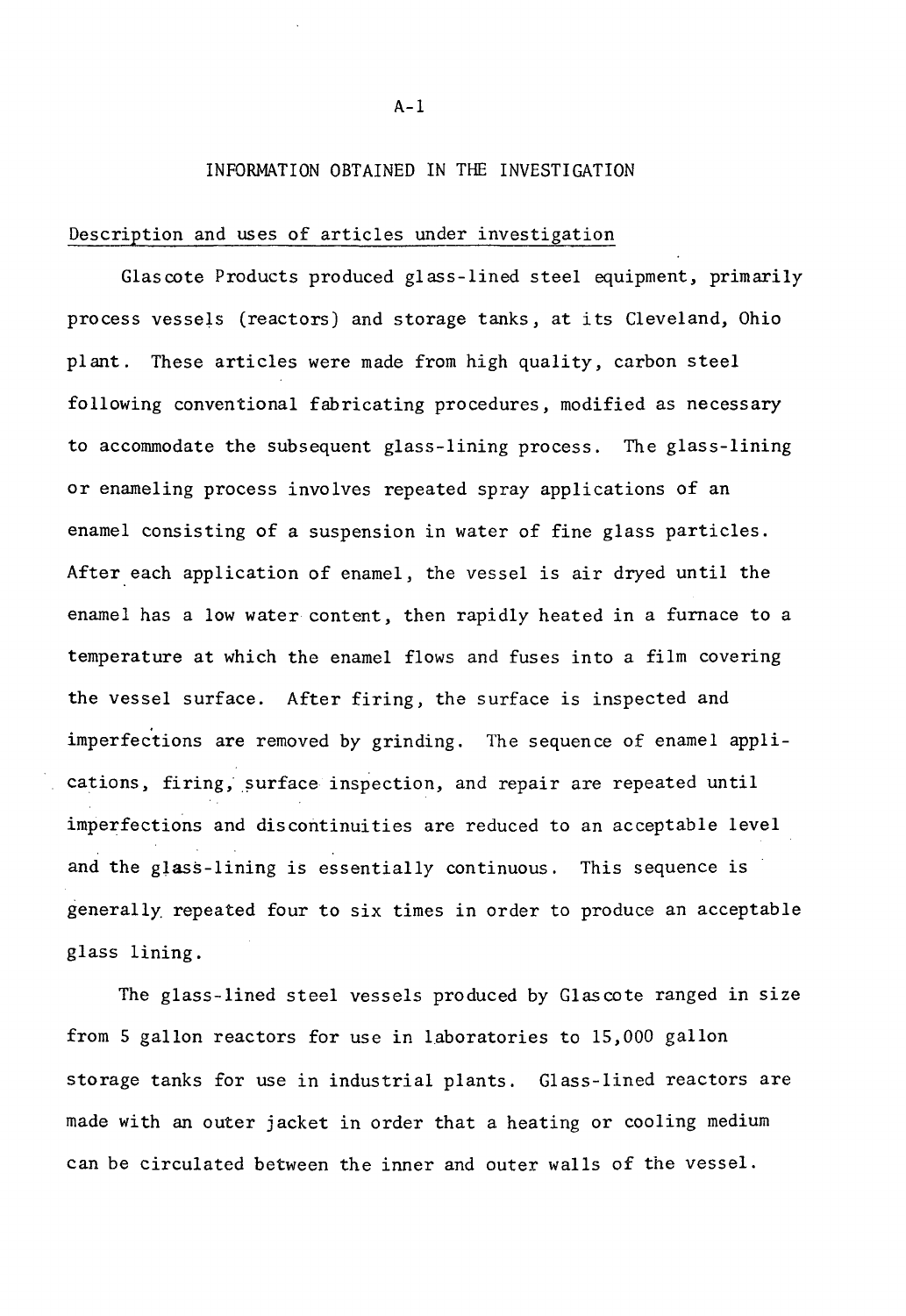## INFORMATION OBTAINED IN THE INVESTIGATION

#### Description and uses of articles under investigation

Glascote Products produced glass-lined steel equipment, primarily process vessels (reactors) and storage tanks, at its Cleveland, Ohio plant. These articles were made from high quality, carbon steel following conventional fabricating procedures, modified as necessary to accommodate the subsequent glass-lining process. The glass-lining or enameling process involves repeated spray applications of an enamel consisting of a suspension in water of fine glass particles. After each application of enamel, the vessel is air dryed until the enamel has a low water content, then rapidly heated in a furnace to a temperature at which the enamel flows and fuses into a film covering the vessel surface. After firing, the surface is inspected and imperfections are removed by grinding. The sequence of enamel applications, firing, surface inspection, and repair are repeated until imperfections and discontinuities are reduced to an acceptable level and the glass-lining is essentially continuous. This sequence is generally. repeated four to six times in order to produce an acceptable glass lining.

The glass-lined steel vessels produced by Glascote ranged in size from 5 gallon reactors for use in laboratories to 15, 000 gallon storage tanks for use in industrial plants. Glass-lined reactors are made with an outer jacket in order that a heating or cooling medium can be circulated between the inner and outer walls of the vessel.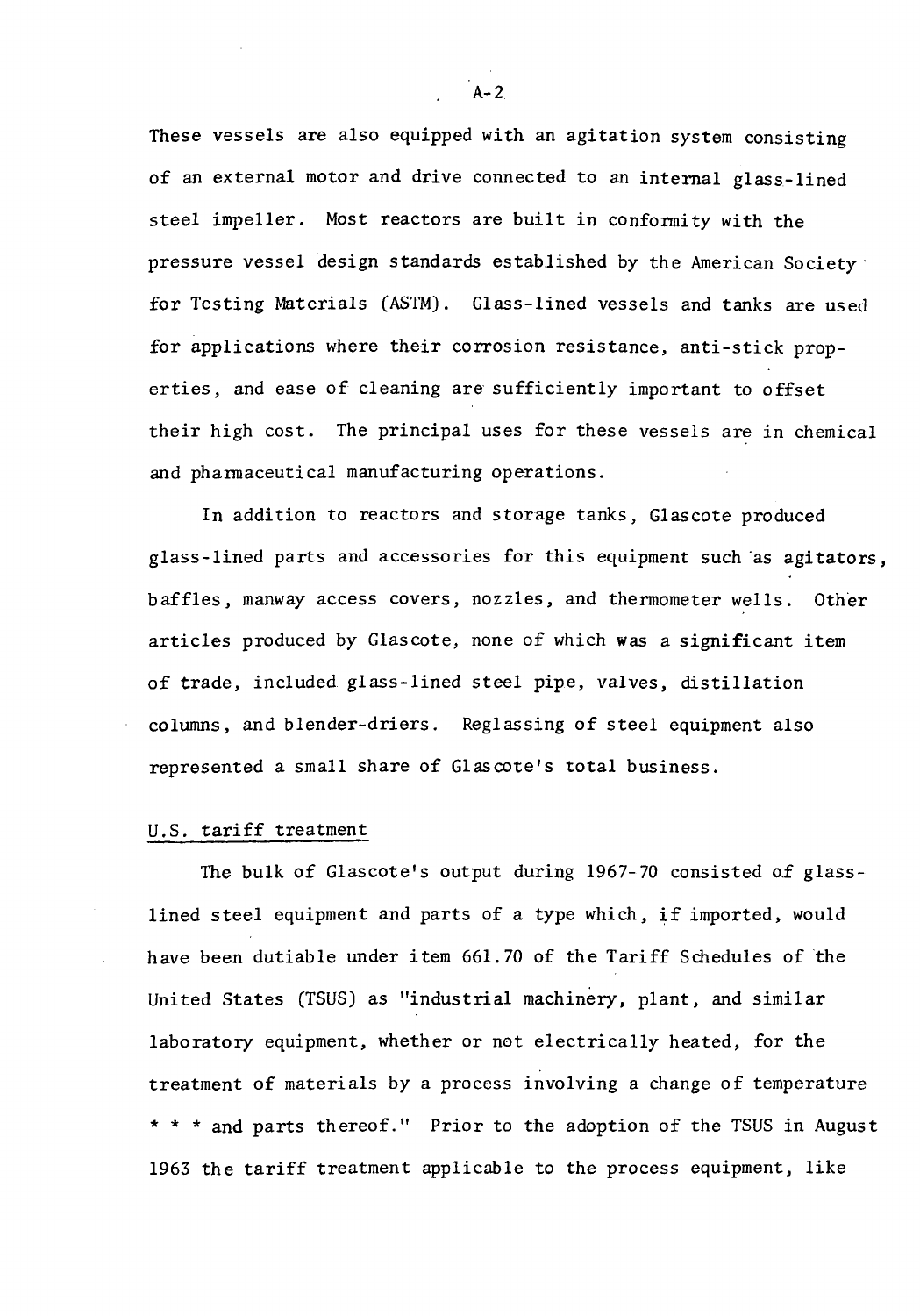These vessels are also equipped with an agitation system consisting of an external motor and drive connected to an internal glass-lined steel impeller. Most reactors are built in confonnity with the pressure vessel design standards established by the American Society· for Testing Materials (ASTM). Glass-lined vessels and tanks are used for applications where their corrosion resistance, anti-stick properties, and ease of cleaning are sufficiently important to offset their high cost. The principal uses for these vessels are in chemical and pharmaceutical manufacturing operations.

In addition to reactors and storage tanks, Glascote produced glass-lined parts and accessories for this equipment such as agitators, baffles, manway access covers, nozzles, and thermometer wells. Other articles produced by Glascote, none of which was a significant item of trade, included glass-lined steel pipe, valves, distillation columns, and blender-driers. Reglassing of steel equipment also represented a small share of GI as cote's total business.

#### U.S. tariff treatment

The bulk of Glascote's output during 1967-70 consisted of glasslined steel equipment and parts of a type which, if imported, would have been dutiable under item 661.70 of the Tariff Schedules of the United States (TSUS) as "industrial machinery, plant, and similar laboratory equipment, whether or not electrically heated, for the treatment of materials by a process involving a change of temperature \* \* \* and parts thereof." Prior to the adoption of the TSUS in August 1963 the tariff treatment applicable to the process equipment, like

 $A-2$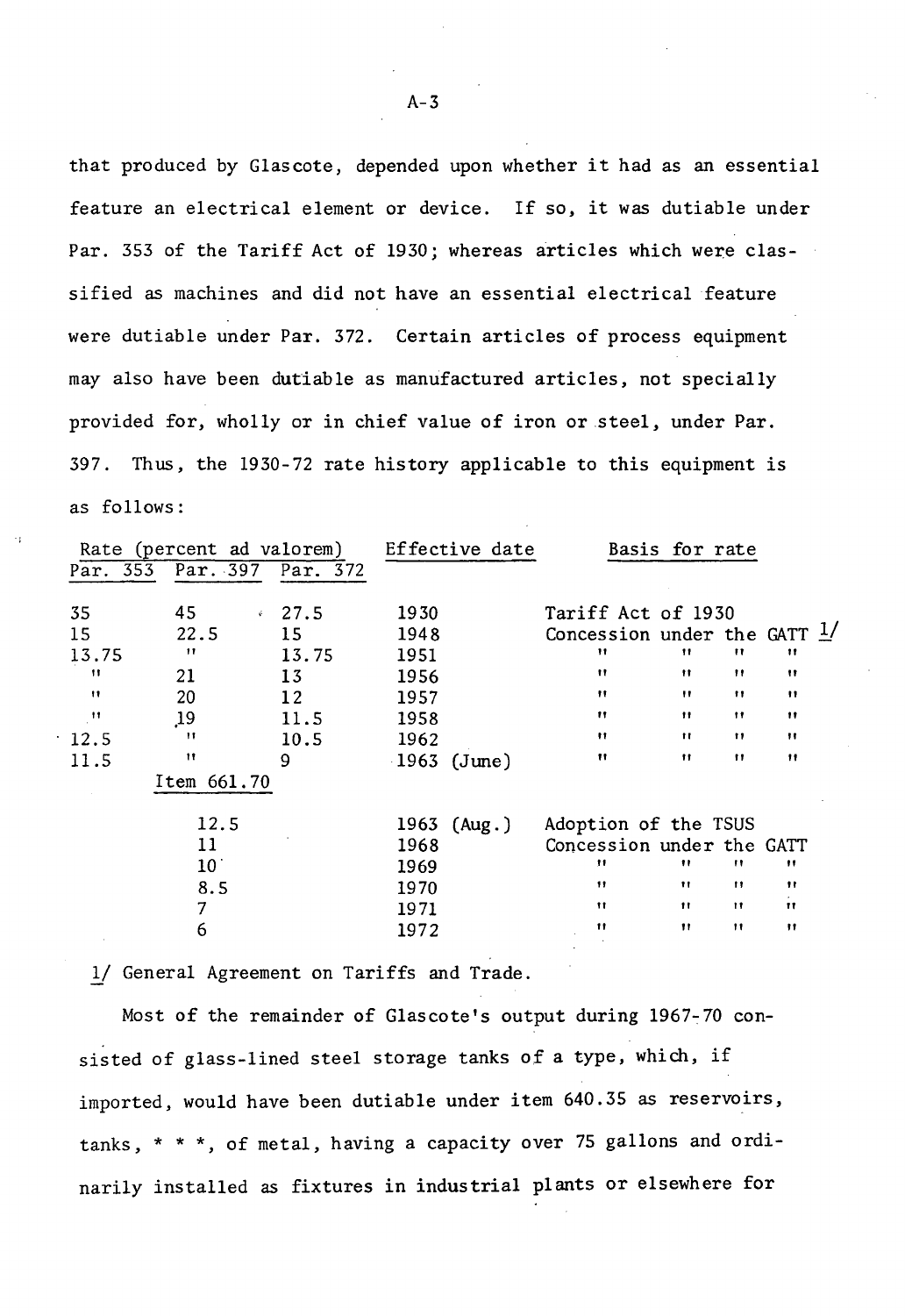that produced by Glascote, depended upon whether it had as an essential feature an electrical element or device. If so, it was dutiable under Par. 353 of the Tariff Act of 1930; whereas articles which were classified as machines and did not have an essential electrical feature were dutiable under Par. 372. Certain articles of process equipment may also have been dutiable as manufactured articles, not specially provided for, wholly or in chief value of iron or steel, under Par. 397. Thus, the 1930-72 rate history applicable to this equipment is as follows:

|              | Rate (percent ad valorem) |       |      | Effective date |                                         | Basis for rate |              |              |  |
|--------------|---------------------------|-------|------|----------------|-----------------------------------------|----------------|--------------|--------------|--|
| Par. 353     | Par. 397 Par. 372         |       |      |                |                                         |                |              |              |  |
| 35           | 45                        | 827.5 | 1930 |                | Tariff Act of 1930                      |                |              |              |  |
| 15           | 22.5                      | 15    | 1948 |                | Concession under the GATT $\frac{1}{2}$ |                |              |              |  |
| 13.75        | $^{\bullet}$              | 13.75 | 1951 |                | $^{\prime\prime}$                       | 11             | 11           | 11           |  |
| $^{\dagger}$ | 21                        | 13    | 1956 |                | $\bullet$                               | $^{\dagger}$   | 11           | 11           |  |
| Ħ            | 20                        | 12    | 1957 |                | 11                                      | $\mathbf{H}$   | $^{\dagger}$ | 11           |  |
| $^{\dagger}$ | 19                        | 11.5  | 1958 |                | $^{\bullet}$                            | 11             | $^{\dagger}$ | 11           |  |
| 12.5         | -11                       | 10.5  | 1962 |                | $\bullet$                               | $^{\dagger}$   | 11           | 11           |  |
| 11.5         | $^{\dagger}$              | 9     |      | $-1963$ (June) | $\mathbf{H}$                            | $^{\dagger}$   | $\mathbf{H}$ | $^{\prime}$  |  |
|              | Item 661.70               |       |      |                |                                         |                |              |              |  |
|              | 12.5                      |       |      | 1963 $(Aug.)$  | Adoption of the TSUS                    |                |              |              |  |
|              | 11                        |       | 1968 |                | Concession under the GATT               |                |              |              |  |
|              | 10 <sup>°</sup>           |       | 1969 |                | $^{\dagger}$                            | 11             | 11           | 11           |  |
|              | 8.5                       |       | 1970 |                | $\blacksquare$                          | $^{\bullet}$   | $^{\bullet}$ | 11           |  |
|              | 7                         |       | 1971 |                | $\mathbf{H}$                            | $^{\bullet}$   | $\mathbf{H}$ | $^{\dagger}$ |  |
|              | 6                         |       | 1972 |                | $^{\bullet}$                            | 11             | $^{\bullet}$ | -11          |  |
|              |                           |       |      |                |                                         |                |              |              |  |

1/ General Agreement on Tariffs and Trade.

Most of the remainder of Glascote's output during 1967~70 consisted of glass-lined steel storage tanks of a type, which, if imported, would have been dutiable under item 640.35 as reservoirs, tanks, \* \* \*, of metal, having a capacity over 75 gallons and ordinarily installed as fixtures in industrial plants or elsewhere for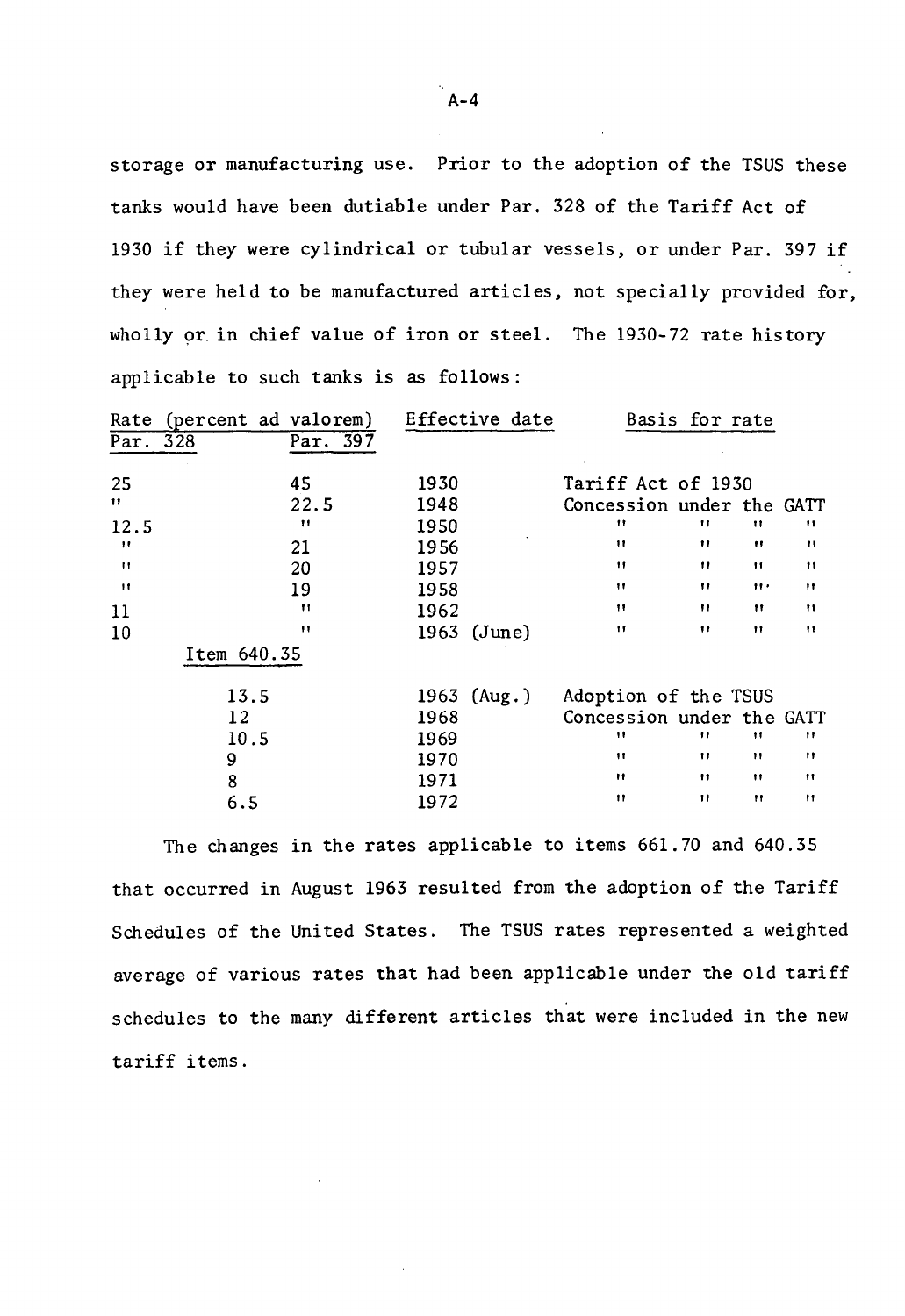storage or manufacturing use. Prior to the adoption of the TSUS these tanks would have been dutiable under Par. 328 of the Tariff Act of 1930 if they were cylindrical or tubular vessels, or under Par. 397 if they were held to be manufactured articles, not specially provided for, wholly or in chief value of iron or steel. The 1930-72 rate history applicable to such tanks is as follows:

|              | Rate (percent ad valorem) |                |      | Effective date |                           | Basis for rate    |                   |              |
|--------------|---------------------------|----------------|------|----------------|---------------------------|-------------------|-------------------|--------------|
| Par. 328     |                           | Par. 397       |      |                |                           |                   |                   |              |
| 25           |                           | 45             | 1930 |                | Tariff Act of 1930        |                   |                   |              |
| $\mathbf{H}$ |                           | 22.5           | 1948 |                | Concession under the GATT |                   |                   |              |
| 12.5         |                           | $\mathbf{H}$   | 1950 |                | $^{\bullet}$              | $\mathbf{H}$      | $^{\dagger}$      | 11           |
| $\mathbf{H}$ |                           | 21             | 1956 |                | $^{\prime\prime}$         | $^{\dagger}$      | $\bullet$         | $\mathbf{H}$ |
| $\mathbf{H}$ |                           | 20             | 1957 |                | 11                        | 11                | $^{\dagger}$      | $^{\dagger}$ |
| $^{\prime}$  |                           | 19             | 1958 |                | $\mathbf{H}$              | Ħ                 | 11.1              | $^{\dagger}$ |
| 11           |                           | $^{\dagger}$   | 1962 |                | $^{\dagger}$              | $^{\prime\prime}$ | $\mathbf{H}$      | Ħ            |
| 10           |                           | $\blacksquare$ |      | 1963 (June)    | $\mathbf{H}$              | $^{\dagger}$      | $\mathbf{H}$      | $^{\bullet}$ |
|              | Item 640.35               |                |      |                |                           |                   |                   |              |
|              | 13.5                      |                |      | 1963 (Aug.)    | Adoption of the TSUS      |                   |                   |              |
|              | 12                        |                | 1968 |                | Concession under the GATT |                   |                   |              |
|              | 10.5                      |                | 1969 |                | 11                        | 11                | $^{\dagger}$      | 11           |
|              | 9                         |                | 1970 |                | $^{\dagger}$              | $^{\dagger}$      | $^{\prime\prime}$ | 11           |
|              | 8                         |                | 1971 |                | $^{\dagger}$              | $^{\dagger}$      | $^{\dagger}$      | 11           |
|              | 6.5                       |                | 1972 |                | $\mathbf{H}$              | 11                | $\mathbf{H}$      | $^{\dagger}$ |

The changes in the rates applicable to items 661.70 and 640.35 that occurred in August 1963 resulted from the adoption of the Tariff Schedules of the United States. The TSUS rates represented a weighted average of various rates that had been applicable under the old tariff schedules to the many different articles that were included in the new tariff items.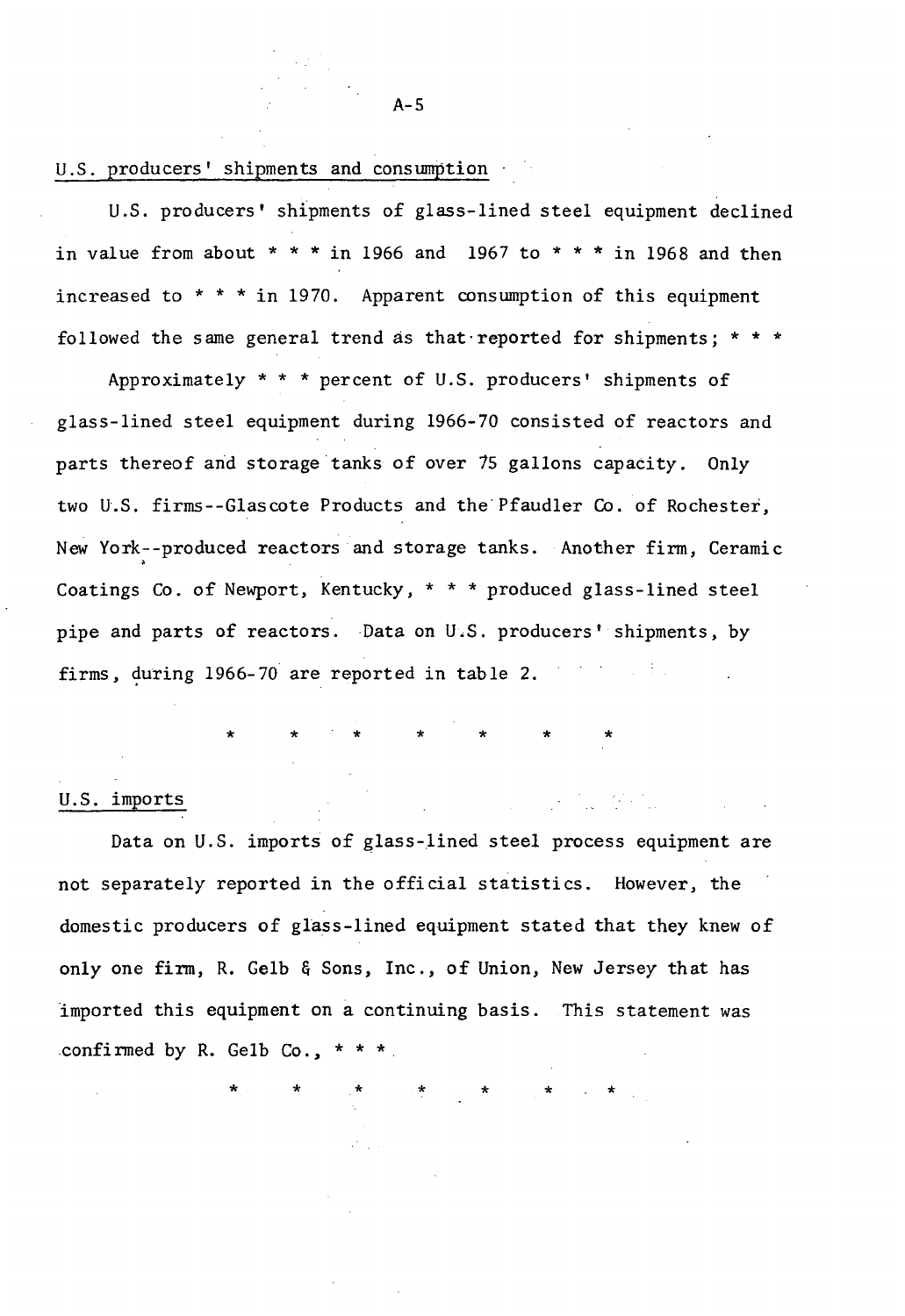U.S. producers' shipments and consumption

U.S. producers' shipments of glass-lined steel equipment declined in value from about  $* * *$  in 1966 and 1967 to  $* * *$  in 1968 and then increased to  $* * * in 1970$ . Apparent consumption of this equipment followed the same general trend as that reported for shipments; \* \* \*

Approximately \* \* \*percent of U.S. producers' shipments of glass-lined steel equipment during 1966-70 consisted of reactors and parts thereof and storage tanks of over 75 gallons capacity. Only two U.S. firms--Glascote Products and the Pfaudler Co. of Rochester, New York--produced reactors and storage tanks. Another firm, Ceramic ' Coatings Co. of Newport, Kentucky, \* \* \* produced glass-lined steel pipe and parts of reactors. Data on U.S. producers' shipments, by firms, during  $1966-70$  are reported in table 2.

\* \* \* \* \* \* \*

#### U.S. imports

Data on U.S. imports of glass-lined steel process equipment are not separately reported in the official statistics. However, the domestic producers of glass-lined equipment stated that they knew of only one firm, R. Gelb & *Sons,* Inc., of Union, New Jersey that has imported this equipment on a continuing basis. This statement was confirmed by R. Gelb Co., \* \* \*

\* \* \* \* \* \* \*

 $A - 5$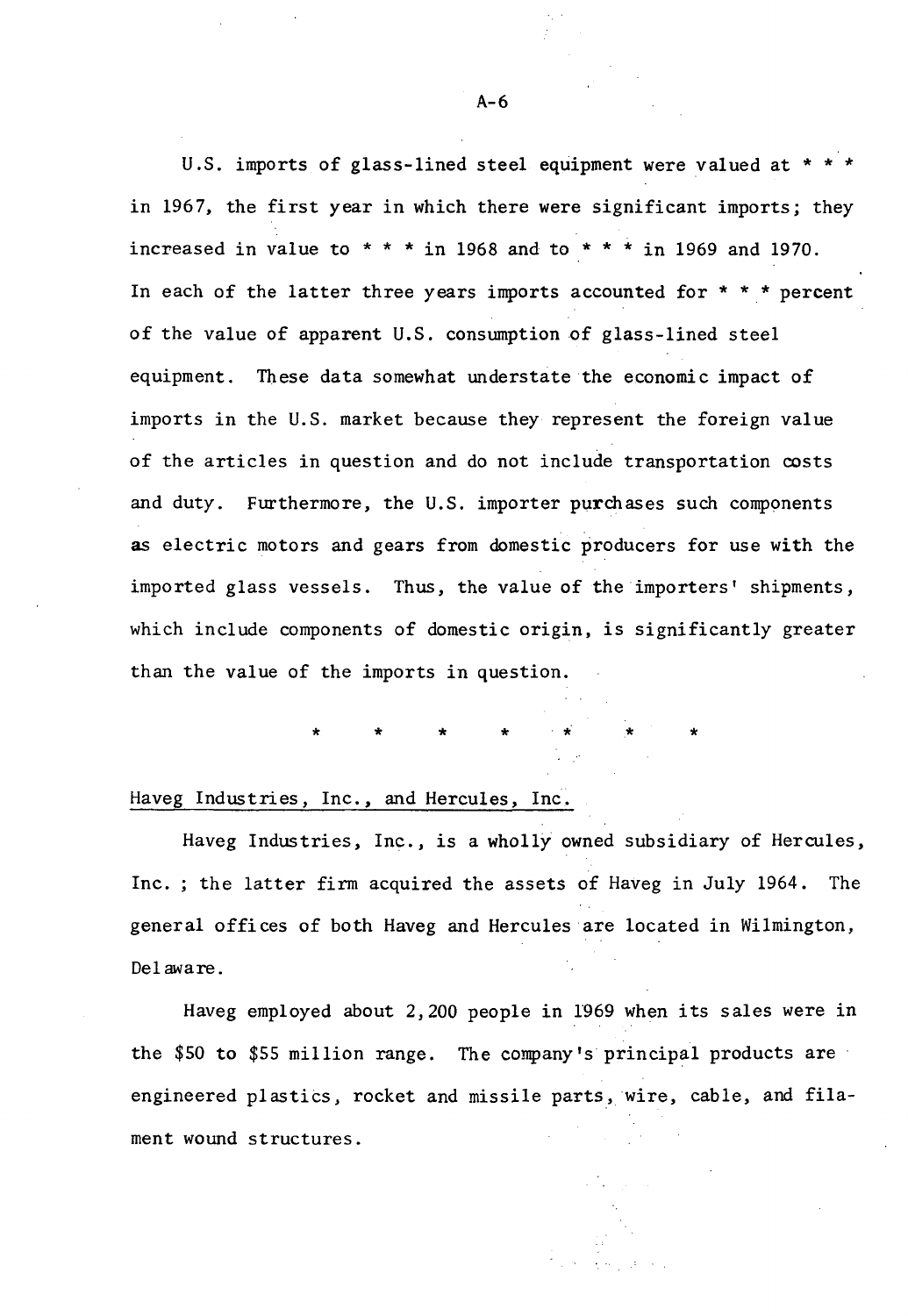U.S. imports of glass-lined steel equipment were valued at \* \* \* in 1967, the first year in which there were significant imports; they increased in value to  $* * *$  in 1968 and to  $* * *$  in 1969 and 1970. In each of the latter three years imports accounted for  $* * *$  percent of the value of apparent U.S. consumption of glass-lined steel equipment. These data somewhat understate the economic impact of imports in the U.S. market because they represent the foreign value of the articles in question and do not include transportation costs and duty. Furthermore, the U.S. importer purchases such components as electric motors and gears from domestic producers for use with the imported glass vessels. Thus, the value of the importers' shipments, which include components of domestic origin, is significantly greater than the value of the imports in question.

\* \* \* \* \* \*

## Haveg Industries, Inc., and Hercules, Inc.

Haveg Industries, Inc., is a wholly owned subsidiary of Hercules, Inc. *;* the latter firm acquired the assets of Haveg in July 1964. The general offices of both Haveg and Hercules are located in Wilmington, Delaware.

Haveg employed about *2,* 200 people in 1969 when its sales were in the \$50 to \$55 million range. The company's principal products are engineered plastics, rocket and missile parts, wire, cable, and filament wound structures.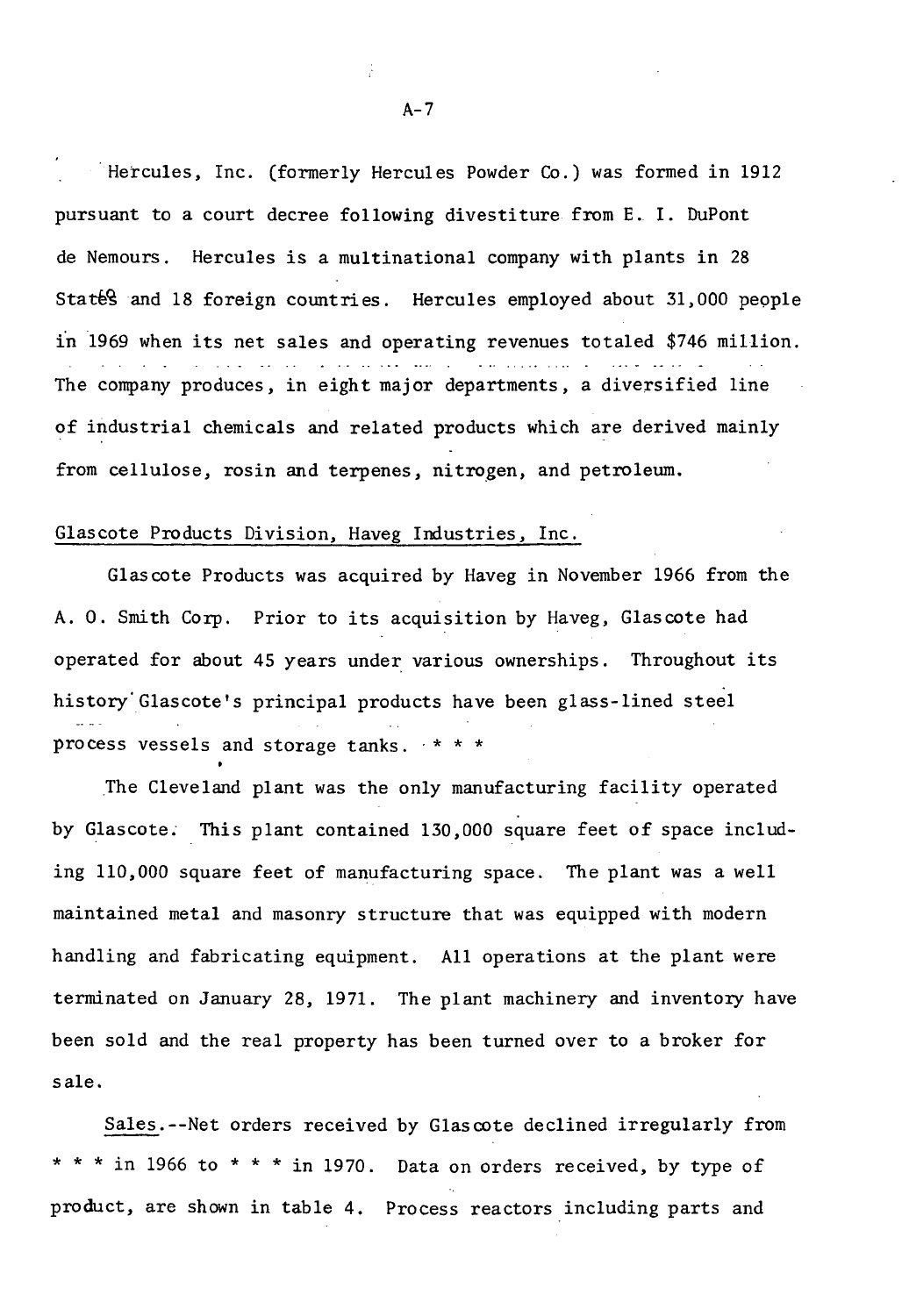Hercules, Inc. (formerly Hercules Powder Co.) was formed in 1912 pursuant to a court decree following divestiture from E. I. DuPont de Nemours. Hercules is a multinational company with plants in 28 State<sup>9</sup> and 18 foreign countries. Hercules employed about 31,000 people in 1969 when its net sales and operating revenues totaled \$746 million. The company produces, in eight major departments, a diversified line of industrial chemicals and related products which are derived mainly from cellulose, rosin and terpenes, nitrogen, and petroleum.

## Glascote Products Division, Haveg Industries, Inc.

Glascote Products was acquired by Haveg in November 1966 from the A. 0. Smith Corp. Prior to its acquisition by Haveg, Glascote had operated for about 45 years under various ownerships. Throughout its history'Glascote's principal products have been glass-lined steel process vessels and storage tanks. · \* \* \*

The Cleveland plant was the only manufacturing facility operated by Glascote; This plant contained 130,000 square feet of space including 110,000 square feet of manufacturing space. The plant was a well maintained metal and masonry structure that was equipped with modern handling and fabricating equipment. All operations at the plant were terminated on January 28, 1971. The plant machinery and inventory have been sold and the real property has been turned over to a broker for sale.

Sales.--Net orders received by Glascote declined irregularly from \* \* \* in 1966 to \* \* \* in 1970. Data on orders received, by type of product, are shown in table 4. Process reactors including parts and

A-7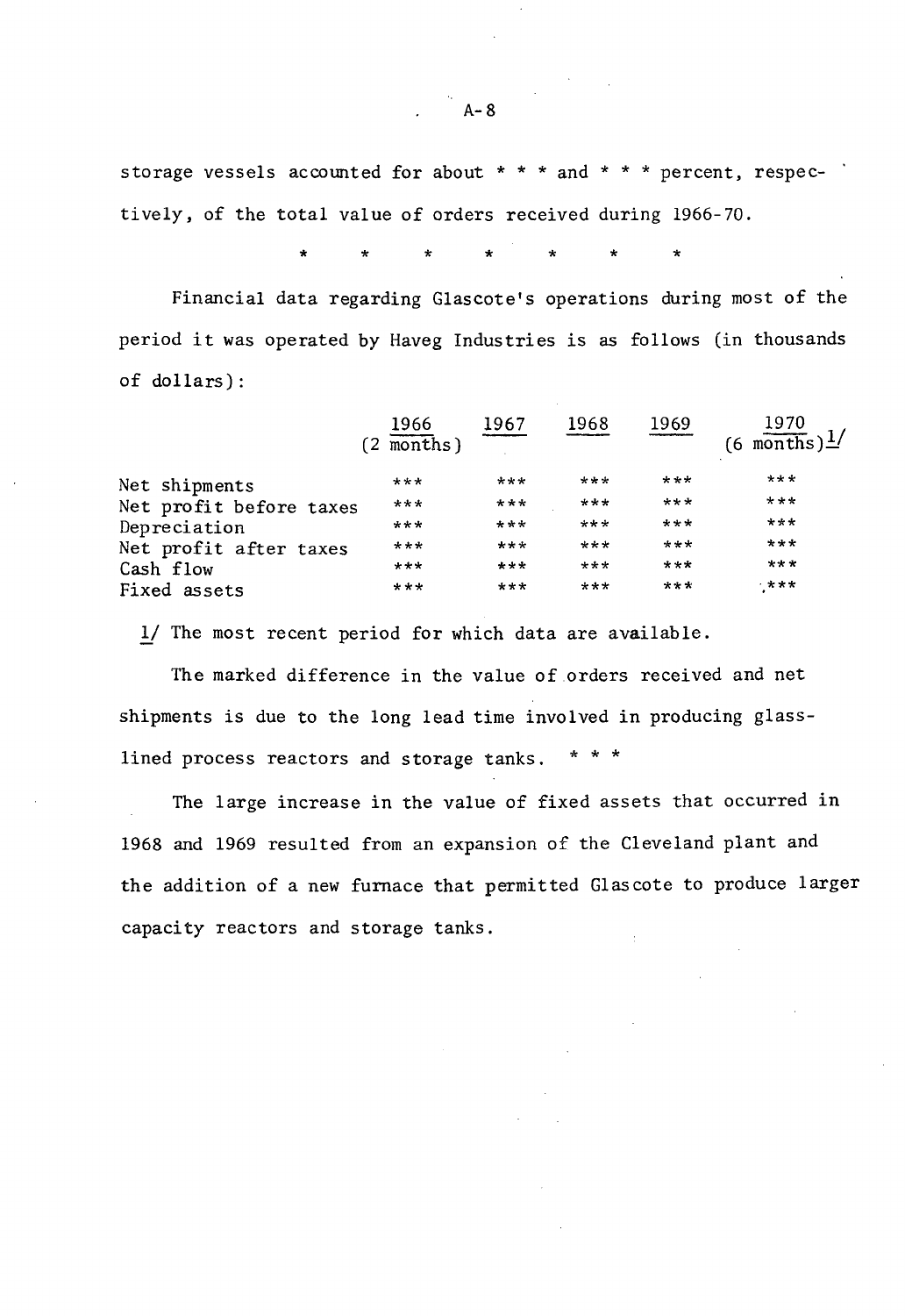storage vessels accounted for about \* \* \* and \* \* \* percent, respectively, of the total value of orders received during 1966-70.

Financial data regarding Glascote's operations during most of the period it was operated by Haveg Industries is as follows (in thousands of dollars):

|                         | 1966<br>$(2 \overline{ months})$ | 1967    | 1968  | 1969   | 1970<br>$(6 \text{ months})$ <sup>1</sup> / |
|-------------------------|----------------------------------|---------|-------|--------|---------------------------------------------|
| Net shipments           | $***$                            | ***     | ***   | $***$  | ***                                         |
| Net profit before taxes | ***                              | ***     | ***   | ***    | ***                                         |
| Depreciation            | ***                              | $* * *$ | ***   | ***    | ***                                         |
| Net profit after taxes  | $* * *$                          | $***$   | $***$ | $****$ | ***                                         |
| Cash flow               | $***$                            | ***     | ***   | $***$  | $***$ *                                     |
| Fixed assets            | $* * *$                          | ***     | $***$ | ***    | · * * *                                     |

1/ The most recent period for which data are available.

The marked difference in the value of orders received and net shipments is due to the long lead time involved in producing glasslined process reactors and storage tanks.

The large increase in the value of fixed assets that occurred in 1968 and 1969 resulted from an expansion of the Cleveland plant and the addition of a new furnace that permitted Glascote to produce larger capacity reactors and storage tanks.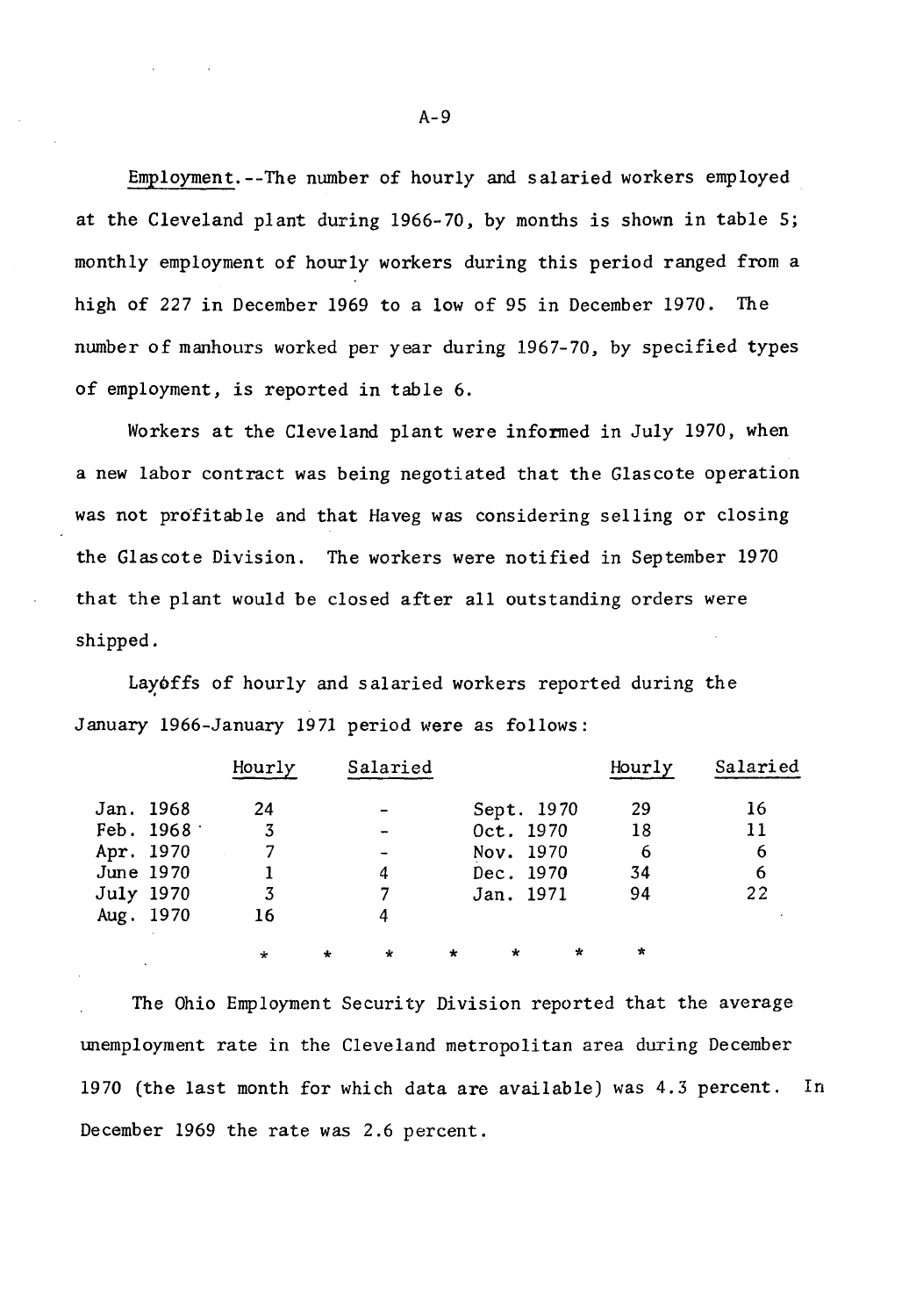Employment.--The number of hourly and salaried workers employed at the Cleveland plant during 1966-70, by months is shown in table 5; monthly employment of hourly workers during this period ranged from a high of 227 in December 1969 to a low of 95 in December 1970. The munber of manhours worked per year during 1967-70, by specified types of employment, is reported in table 6.

Workers at the Cleveland plant were informed in July 1970, when a new labor contract was being negotiated that the Glascote operation was not profitable and that Haveg was considering selling or closing the Glascote Division. The workers were notified in September 1970 that the plant would be closed after all outstanding orders were shipped.

Layoffs of hourly and salaried workers reported during the January 1966-January 1971 period were as follows:

|           | Hourly  | Salaried           |                               | Hourly  | Salaried |
|-----------|---------|--------------------|-------------------------------|---------|----------|
| Jan. 1968 | 24      |                    | Sept. 1970                    | -29     | 16       |
| Feb. 1968 | 3       |                    | Oct. 1970                     | 18      | 11       |
| Apr. 1970 | 7       |                    | Nov. 1970                     | 6       | 6        |
| June 1970 |         | 4                  | Dec. 1970                     | 34      | 6        |
| July 1970 | 3       |                    | Jan. 1971                     | 94      | 22       |
| Aug. 1970 | 16      | 4                  |                               |         |          |
|           | $\star$ | $\star$<br>$\star$ | $\star$<br>$\star$<br>$\star$ | $\star$ |          |

The Ohio Employment Security Division reported that the average unemployment rate in the Cleveland metropolitan area during December 1970 (the last month for which data are available) was 4.3 percent. In December 1969 the rate was 2.6 percent.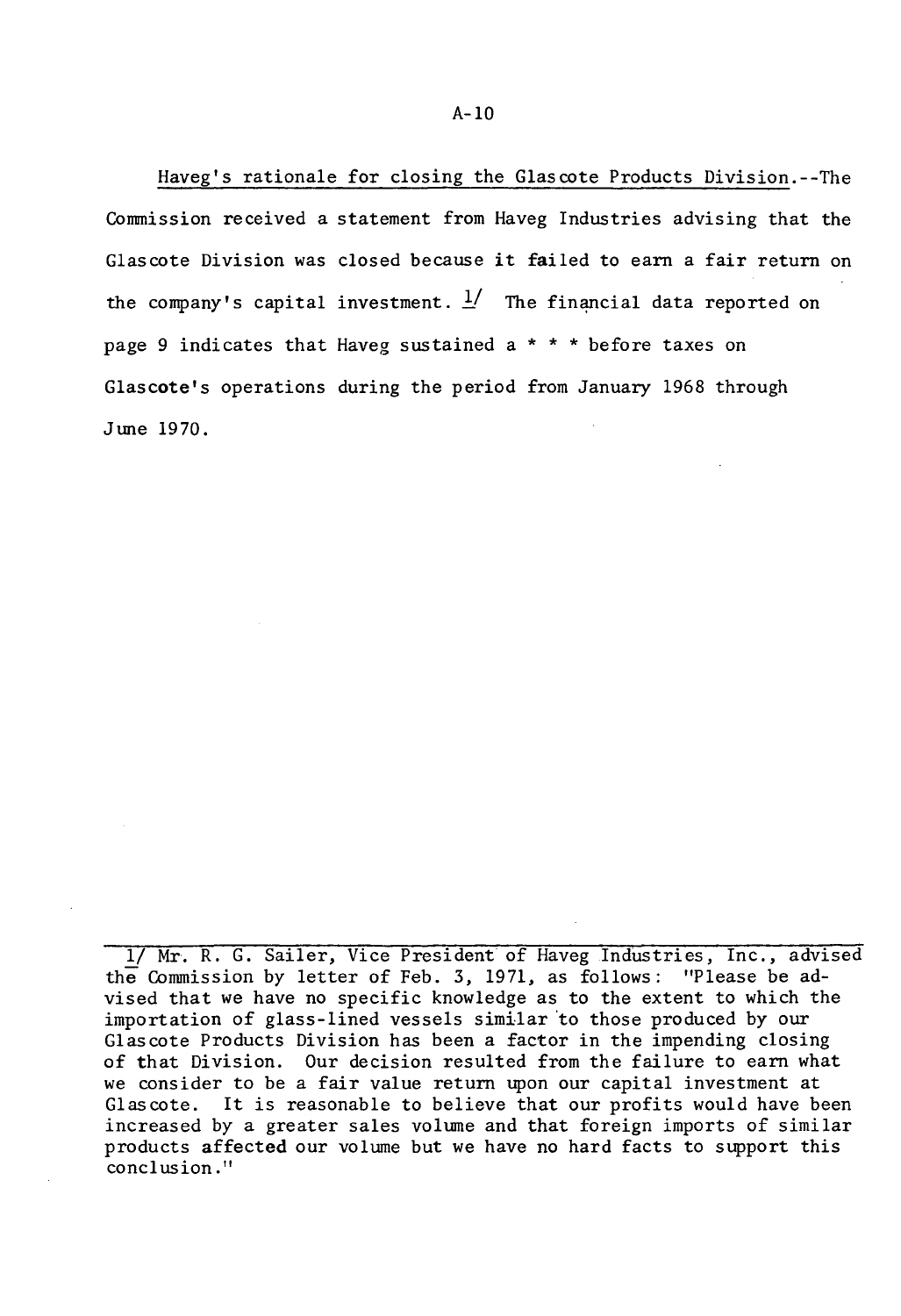Haveg's rationale for closing the Glascote Products Division.--The Commission received a statement from Haveg Industries advising that the Glascote Division was closed because it failed to earn a fair return on the company's capital investment.  $\frac{1}{4}$  The financial data reported on page 9 indicates that Haveg sustained a \* \* \* before taxes on Glascote's operations during the period from January 1968 through June 1970.

1/ Mr. R. G. Sailer, Vice President of Haveg Industries, Inc., advised<br>le Commission by letter of Feb. 3, 1971, as follows: "Please be adthe Commission by letter of Feb. 3, 1971, as follows: vised that we have no specific knowledge as to the extent to which the importation of glass-lined vessels similar to those produced by our Glascote Products Division has been a factor in the impending closing of that Division. Our decision resulted from the failure to earn what we consider to be a fair value return upon our capital investment at Glascote. It is reasonable to believe that our profits would have been increased by a greater sales volume and that foreign imports of similar products affected our volume but we have no hard facts to support this conclusion."